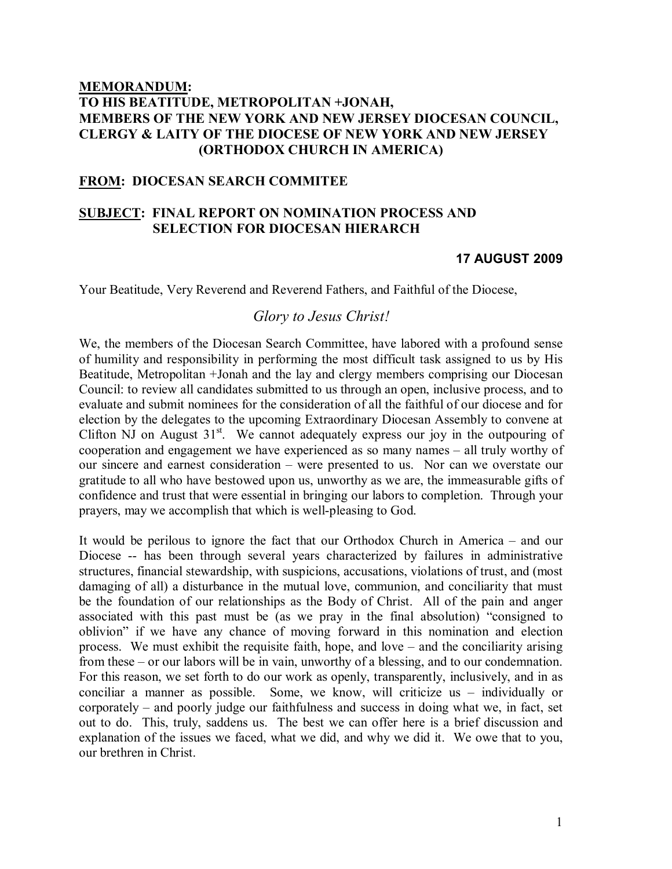# MEMORANDUM: TO HIS BEATITUDE, METROPOLITAN +JONAH, MEMBERS OF THE NEW YORK AND NEW JERSEY DIOCESAN COUNCIL, CLERGY & LAITY OF THE DIOCESE OF NEW YORK AND NEW JERSEY (ORTHODOX CHURCH IN AMERICA)

# FROM: DIOCESAN SEARCH COMMITEE

# SUBJECT: FINAL REPORT ON NOMINATION PROCESS AND SELECTION FOR DIOCESAN HIERARCH

## 17 AUGUST 2009

Your Beatitude, Very Reverend and Reverend Fathers, and Faithful of the Diocese,

# Glory to Jesus Christ!

We, the members of the Diocesan Search Committee, have labored with a profound sense of humility and responsibility in performing the most difficult task assigned to us by His Beatitude, Metropolitan +Jonah and the lay and clergy members comprising our Diocesan Council: to review all candidates submitted to us through an open, inclusive process, and to evaluate and submit nominees for the consideration of all the faithful of our diocese and for election by the delegates to the upcoming Extraordinary Diocesan Assembly to convene at Clifton NJ on August  $31<sup>st</sup>$ . We cannot adequately express our joy in the outpouring of cooperation and engagement we have experienced as so many names – all truly worthy of our sincere and earnest consideration – were presented to us. Nor can we overstate our gratitude to all who have bestowed upon us, unworthy as we are, the immeasurable gifts of confidence and trust that were essential in bringing our labors to completion. Through your prayers, may we accomplish that which is well-pleasing to God.

It would be perilous to ignore the fact that our Orthodox Church in America – and our Diocese -- has been through several years characterized by failures in administrative structures, financial stewardship, with suspicions, accusations, violations of trust, and (most damaging of all) a disturbance in the mutual love, communion, and conciliarity that must be the foundation of our relationships as the Body of Christ. All of the pain and anger associated with this past must be (as we pray in the final absolution) "consigned to oblivion" if we have any chance of moving forward in this nomination and election process. We must exhibit the requisite faith, hope, and love – and the conciliarity arising from these – or our labors will be in vain, unworthy of a blessing, and to our condemnation. For this reason, we set forth to do our work as openly, transparently, inclusively, and in as conciliar a manner as possible. Some, we know, will criticize us – individually or corporately – and poorly judge our faithfulness and success in doing what we, in fact, set out to do. This, truly, saddens us. The best we can offer here is a brief discussion and explanation of the issues we faced, what we did, and why we did it. We owe that to you, our brethren in Christ.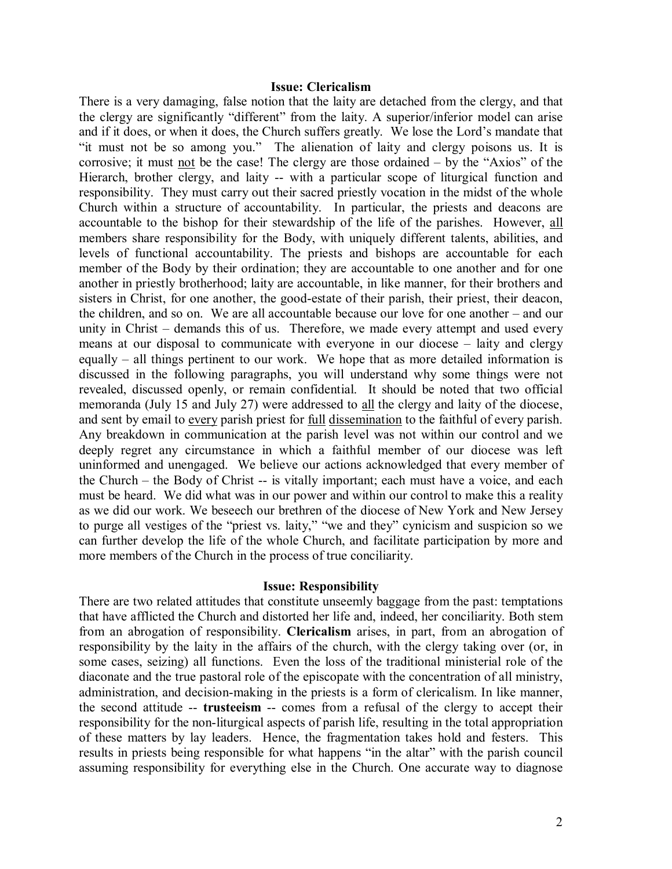### Issue: Clericalism

There is a very damaging, false notion that the laity are detached from the clergy, and that the clergy are significantly "different" from the laity. A superior/inferior model can arise and if it does, or when it does, the Church suffers greatly. We lose the Lord's mandate that "it must not be so among you." The alienation of laity and clergy poisons us. It is corrosive; it must not be the case! The clergy are those ordained – by the "Axios" of the Hierarch, brother clergy, and laity -- with a particular scope of liturgical function and responsibility. They must carry out their sacred priestly vocation in the midst of the whole Church within a structure of accountability. In particular, the priests and deacons are accountable to the bishop for their stewardship of the life of the parishes. However, all members share responsibility for the Body, with uniquely different talents, abilities, and levels of functional accountability. The priests and bishops are accountable for each member of the Body by their ordination; they are accountable to one another and for one another in priestly brotherhood; laity are accountable, in like manner, for their brothers and sisters in Christ, for one another, the good-estate of their parish, their priest, their deacon, the children, and so on. We are all accountable because our love for one another – and our unity in Christ – demands this of us. Therefore, we made every attempt and used every means at our disposal to communicate with everyone in our diocese – laity and clergy equally – all things pertinent to our work. We hope that as more detailed information is discussed in the following paragraphs, you will understand why some things were not revealed, discussed openly, or remain confidential. It should be noted that two official memoranda (July 15 and July 27) were addressed to all the clergy and laity of the diocese, and sent by email to every parish priest for full dissemination to the faithful of every parish. Any breakdown in communication at the parish level was not within our control and we deeply regret any circumstance in which a faithful member of our diocese was left uninformed and unengaged. We believe our actions acknowledged that every member of the Church – the Body of Christ -- is vitally important; each must have a voice, and each must be heard. We did what was in our power and within our control to make this a reality as we did our work. We beseech our brethren of the diocese of New York and New Jersey to purge all vestiges of the "priest vs. laity," "we and they" cynicism and suspicion so we can further develop the life of the whole Church, and facilitate participation by more and more members of the Church in the process of true conciliarity.

### Issue: Responsibility

There are two related attitudes that constitute unseemly baggage from the past: temptations that have afflicted the Church and distorted her life and, indeed, her conciliarity. Both stem from an abrogation of responsibility. Clericalism arises, in part, from an abrogation of responsibility by the laity in the affairs of the church, with the clergy taking over (or, in some cases, seizing) all functions. Even the loss of the traditional ministerial role of the diaconate and the true pastoral role of the episcopate with the concentration of all ministry, administration, and decision-making in the priests is a form of clericalism. In like manner, the second attitude -- trusteeism -- comes from a refusal of the clergy to accept their responsibility for the non-liturgical aspects of parish life, resulting in the total appropriation of these matters by lay leaders. Hence, the fragmentation takes hold and festers. This results in priests being responsible for what happens "in the altar" with the parish council assuming responsibility for everything else in the Church. One accurate way to diagnose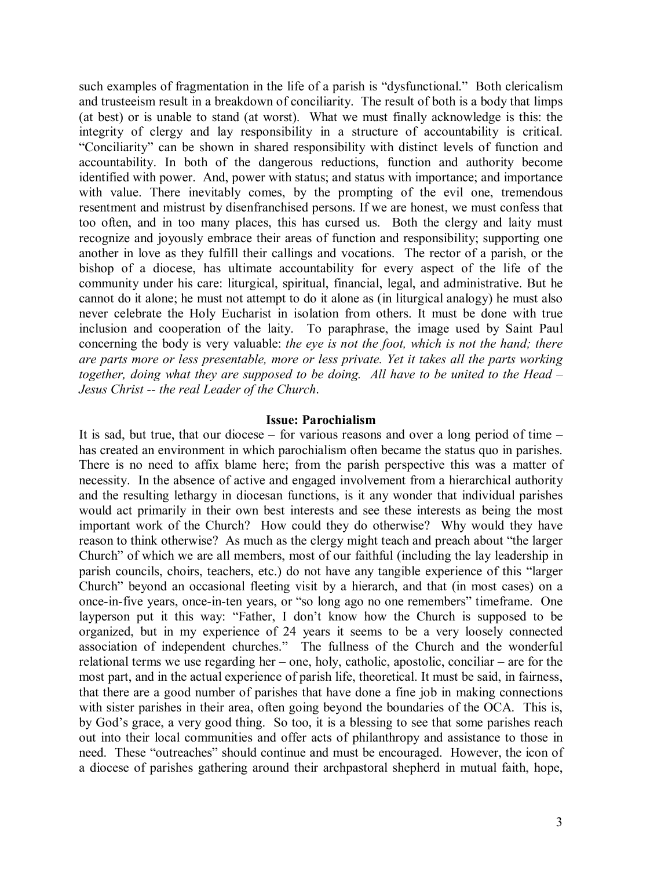such examples of fragmentation in the life of a parish is "dysfunctional." Both clericalism and trusteeism result in a breakdown of conciliarity. The result of both is a body that limps (at best) or is unable to stand (at worst). What we must finally acknowledge is this: the integrity of clergy and lay responsibility in a structure of accountability is critical. "Conciliarity" can be shown in shared responsibility with distinct levels of function and accountability. In both of the dangerous reductions, function and authority become identified with power. And, power with status; and status with importance; and importance with value. There inevitably comes, by the prompting of the evil one, tremendous resentment and mistrust by disenfranchised persons. If we are honest, we must confess that too often, and in too many places, this has cursed us. Both the clergy and laity must recognize and joyously embrace their areas of function and responsibility; supporting one another in love as they fulfill their callings and vocations. The rector of a parish, or the bishop of a diocese, has ultimate accountability for every aspect of the life of the community under his care: liturgical, spiritual, financial, legal, and administrative. But he cannot do it alone; he must not attempt to do it alone as (in liturgical analogy) he must also never celebrate the Holy Eucharist in isolation from others. It must be done with true inclusion and cooperation of the laity. To paraphrase, the image used by Saint Paul concerning the body is very valuable: the eye is not the foot, which is not the hand; there are parts more or less presentable, more or less private. Yet it takes all the parts working together, doing what they are supposed to be doing. All have to be united to the Head – Jesus Christ -- the real Leader of the Church.

#### Issue: Parochialism

It is sad, but true, that our diocese – for various reasons and over a long period of time – has created an environment in which parochialism often became the status quo in parishes. There is no need to affix blame here; from the parish perspective this was a matter of necessity. In the absence of active and engaged involvement from a hierarchical authority and the resulting lethargy in diocesan functions, is it any wonder that individual parishes would act primarily in their own best interests and see these interests as being the most important work of the Church? How could they do otherwise? Why would they have reason to think otherwise? As much as the clergy might teach and preach about "the larger Church" of which we are all members, most of our faithful (including the lay leadership in parish councils, choirs, teachers, etc.) do not have any tangible experience of this "larger Church" beyond an occasional fleeting visit by a hierarch, and that (in most cases) on a once-in-five years, once-in-ten years, or "so long ago no one remembers" timeframe. One layperson put it this way: "Father, I don't know how the Church is supposed to be organized, but in my experience of 24 years it seems to be a very loosely connected association of independent churches." The fullness of the Church and the wonderful relational terms we use regarding her – one, holy, catholic, apostolic, conciliar – are for the most part, and in the actual experience of parish life, theoretical. It must be said, in fairness, that there are a good number of parishes that have done a fine job in making connections with sister parishes in their area, often going beyond the boundaries of the OCA. This is, by God's grace, a very good thing. So too, it is a blessing to see that some parishes reach out into their local communities and offer acts of philanthropy and assistance to those in need. These "outreaches" should continue and must be encouraged. However, the icon of a diocese of parishes gathering around their archpastoral shepherd in mutual faith, hope,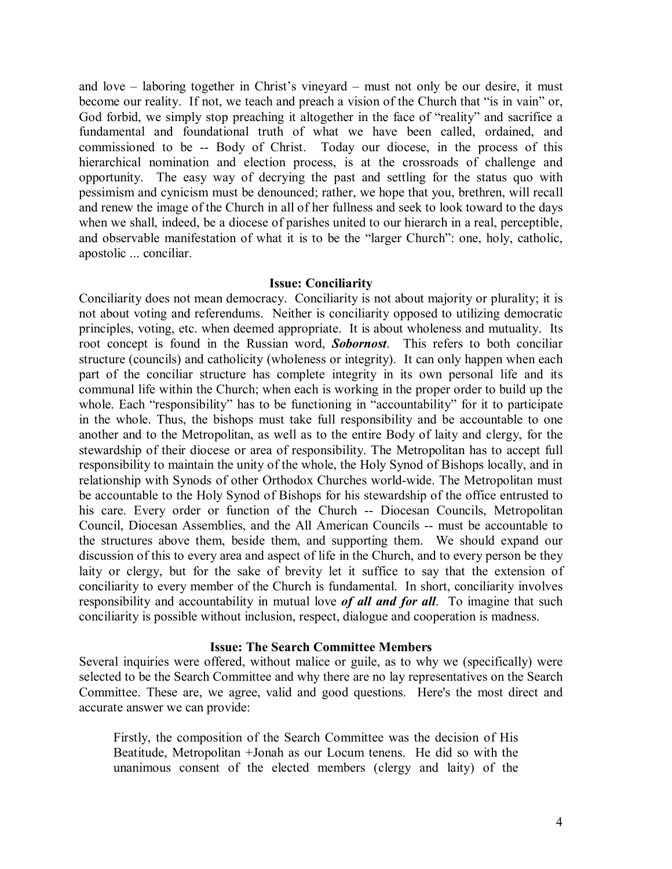and love – laboring together in Christ's vineyard – must not only be our desire, it must become our reality. If not, we teach and preach a vision of the Church that "is in vain" or, God forbid, we simply stop preaching it altogether in the face of "reality" and sacrifice a fundamental and foundational truth of what we have been called, ordained, and commissioned to be -- Body of Christ. Today our diocese, in the process of this hierarchical nomination and election process, is at the crossroads of challenge and opportunity. The easy way of decrying the past and settling for the status quo with pessimism and cynicism must be denounced; rather, we hope that you, brethren, will recall and renew the image of the Church in all of her fullness and seek to look toward to the days when we shall, indeed, be a diocese of parishes united to our hierarch in a real, perceptible, and observable manifestation of what it is to be the "larger Church": one, holy, catholic, apostolic ... conciliar.

# Issue: Conciliarity

Conciliarity does not mean democracy. Conciliarity is not about majority or plurality; it is not about voting and referendums. Neither is conciliarity opposed to utilizing democratic principles, voting, etc. when deemed appropriate. It is about wholeness and mutuality. Its root concept is found in the Russian word, **Sobornost**. This refers to both conciliar structure (councils) and catholicity (wholeness or integrity). It can only happen when each part of the conciliar structure has complete integrity in its own personal life and its communal life within the Church; when each is working in the proper order to build up the whole. Each "responsibility" has to be functioning in "accountability" for it to participate in the whole. Thus, the bishops must take full responsibility and be accountable to one another and to the Metropolitan, as well as to the entire Body of laity and clergy, for the stewardship of their diocese or area of responsibility. The Metropolitan has to accept full responsibility to maintain the unity of the whole, the Holy Synod of Bishops locally, and in relationship with Synods of other Orthodox Churches world-wide. The Metropolitan must be accountable to the Holy Synod of Bishops for his stewardship of the office entrusted to his care. Every order or function of the Church -- Diocesan Councils, Metropolitan Council, Diocesan Assemblies, and the All American Councils -- must be accountable to the structures above them, beside them, and supporting them. We should expand our discussion of this to every area and aspect of life in the Church, and to every person be they laity or clergy, but for the sake of brevity let it suffice to say that the extension of conciliarity to every member of the Church is fundamental. In short, conciliarity involves responsibility and accountability in mutual love *of all and for all*. To imagine that such conciliarity is possible without inclusion, respect, dialogue and cooperation is madness.

## Issue: The Search Committee Members

Several inquiries were offered, without malice or guile, as to why we (specifically) were selected to be the Search Committee and why there are no lay representatives on the Search Committee. These are, we agree, valid and good questions. Here's the most direct and accurate answer we can provide:

Firstly, the composition of the Search Committee was the decision of His Beatitude, Metropolitan +Jonah as our Locum tenens. He did so with the unanimous consent of the elected members (clergy and laity) of the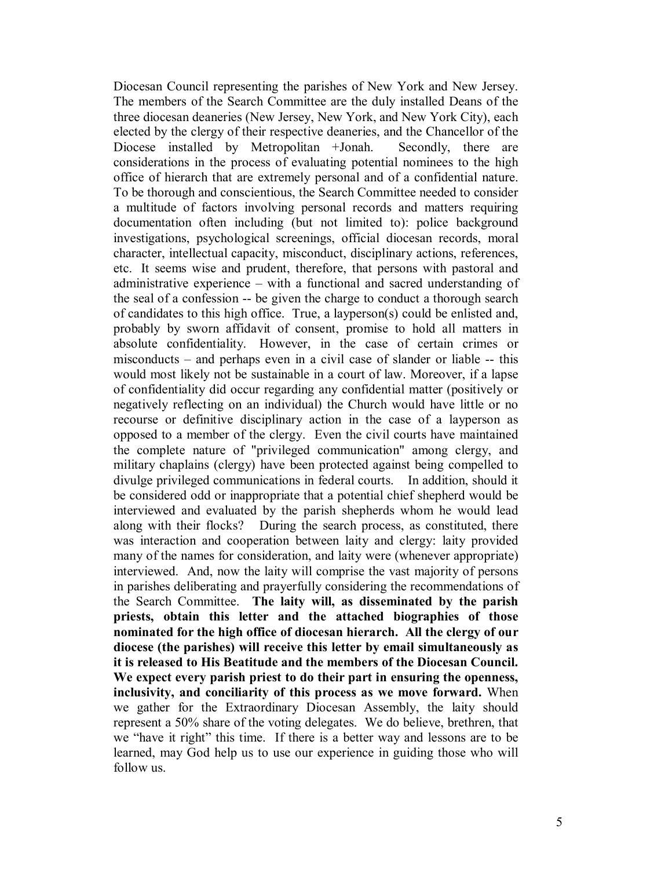Diocesan Council representing the parishes of New York and New Jersey. The members of the Search Committee are the duly installed Deans of the three diocesan deaneries (New Jersey, New York, and New York City), each elected by the clergy of their respective deaneries, and the Chancellor of the Diocese installed by Metropolitan +Jonah. Secondly, there are considerations in the process of evaluating potential nominees to the high office of hierarch that are extremely personal and of a confidential nature. To be thorough and conscientious, the Search Committee needed to consider a multitude of factors involving personal records and matters requiring documentation often including (but not limited to): police background investigations, psychological screenings, official diocesan records, moral character, intellectual capacity, misconduct, disciplinary actions, references, etc. It seems wise and prudent, therefore, that persons with pastoral and administrative experience – with a functional and sacred understanding of the seal of a confession -- be given the charge to conduct a thorough search of candidates to this high office. True, a layperson(s) could be enlisted and, probably by sworn affidavit of consent, promise to hold all matters in absolute confidentiality. However, in the case of certain crimes or misconducts – and perhaps even in a civil case of slander or liable -- this would most likely not be sustainable in a court of law. Moreover, if a lapse of confidentiality did occur regarding any confidential matter (positively or negatively reflecting on an individual) the Church would have little or no recourse or definitive disciplinary action in the case of a layperson as opposed to a member of the clergy. Even the civil courts have maintained the complete nature of "privileged communication" among clergy, and military chaplains (clergy) have been protected against being compelled to divulge privileged communications in federal courts. In addition, should it be considered odd or inappropriate that a potential chief shepherd would be interviewed and evaluated by the parish shepherds whom he would lead along with their flocks? During the search process, as constituted, there was interaction and cooperation between laity and clergy: laity provided many of the names for consideration, and laity were (whenever appropriate) interviewed. And, now the laity will comprise the vast majority of persons in parishes deliberating and prayerfully considering the recommendations of the Search Committee. The laity will, as disseminated by the parish priests, obtain this letter and the attached biographies of those nominated for the high office of diocesan hierarch. All the clergy of our diocese (the parishes) will receive this letter by email simultaneously as it is released to His Beatitude and the members of the Diocesan Council. We expect every parish priest to do their part in ensuring the openness, inclusivity, and conciliarity of this process as we move forward. When we gather for the Extraordinary Diocesan Assembly, the laity should represent a 50% share of the voting delegates. We do believe, brethren, that we "have it right" this time. If there is a better way and lessons are to be learned, may God help us to use our experience in guiding those who will follow us.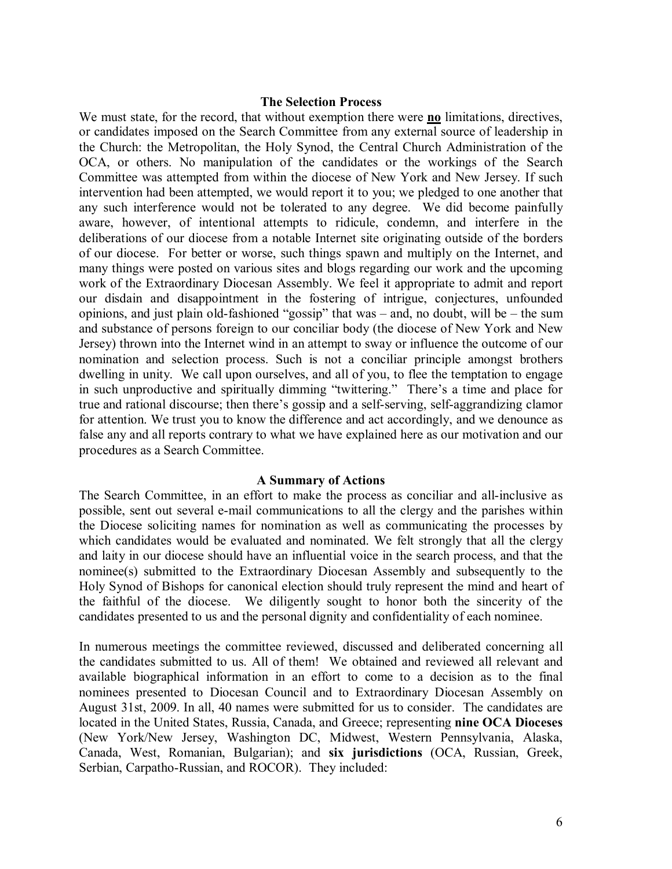### The Selection Process

We must state, for the record, that without exemption there were **no** limitations, directives, or candidates imposed on the Search Committee from any external source of leadership in the Church: the Metropolitan, the Holy Synod, the Central Church Administration of the OCA, or others. No manipulation of the candidates or the workings of the Search Committee was attempted from within the diocese of New York and New Jersey. If such intervention had been attempted, we would report it to you; we pledged to one another that any such interference would not be tolerated to any degree. We did become painfully aware, however, of intentional attempts to ridicule, condemn, and interfere in the deliberations of our diocese from a notable Internet site originating outside of the borders of our diocese. For better or worse, such things spawn and multiply on the Internet, and many things were posted on various sites and blogs regarding our work and the upcoming work of the Extraordinary Diocesan Assembly. We feel it appropriate to admit and report our disdain and disappointment in the fostering of intrigue, conjectures, unfounded opinions, and just plain old-fashioned "gossip" that was – and, no doubt, will be – the sum and substance of persons foreign to our conciliar body (the diocese of New York and New Jersey) thrown into the Internet wind in an attempt to sway or influence the outcome of our nomination and selection process. Such is not a conciliar principle amongst brothers dwelling in unity. We call upon ourselves, and all of you, to flee the temptation to engage in such unproductive and spiritually dimming "twittering." There's a time and place for true and rational discourse; then there's gossip and a self-serving, self-aggrandizing clamor for attention. We trust you to know the difference and act accordingly, and we denounce as false any and all reports contrary to what we have explained here as our motivation and our procedures as a Search Committee.

#### A Summary of Actions

The Search Committee, in an effort to make the process as conciliar and all-inclusive as possible, sent out several e-mail communications to all the clergy and the parishes within the Diocese soliciting names for nomination as well as communicating the processes by which candidates would be evaluated and nominated. We felt strongly that all the clergy and laity in our diocese should have an influential voice in the search process, and that the nominee(s) submitted to the Extraordinary Diocesan Assembly and subsequently to the Holy Synod of Bishops for canonical election should truly represent the mind and heart of the faithful of the diocese. We diligently sought to honor both the sincerity of the candidates presented to us and the personal dignity and confidentiality of each nominee.

In numerous meetings the committee reviewed, discussed and deliberated concerning all the candidates submitted to us. All of them! We obtained and reviewed all relevant and available biographical information in an effort to come to a decision as to the final nominees presented to Diocesan Council and to Extraordinary Diocesan Assembly on August 31st, 2009. In all, 40 names were submitted for us to consider. The candidates are located in the United States, Russia, Canada, and Greece; representing nine OCA Dioceses (New York/New Jersey, Washington DC, Midwest, Western Pennsylvania, Alaska, Canada, West, Romanian, Bulgarian); and six jurisdictions (OCA, Russian, Greek, Serbian, Carpatho-Russian, and ROCOR). They included: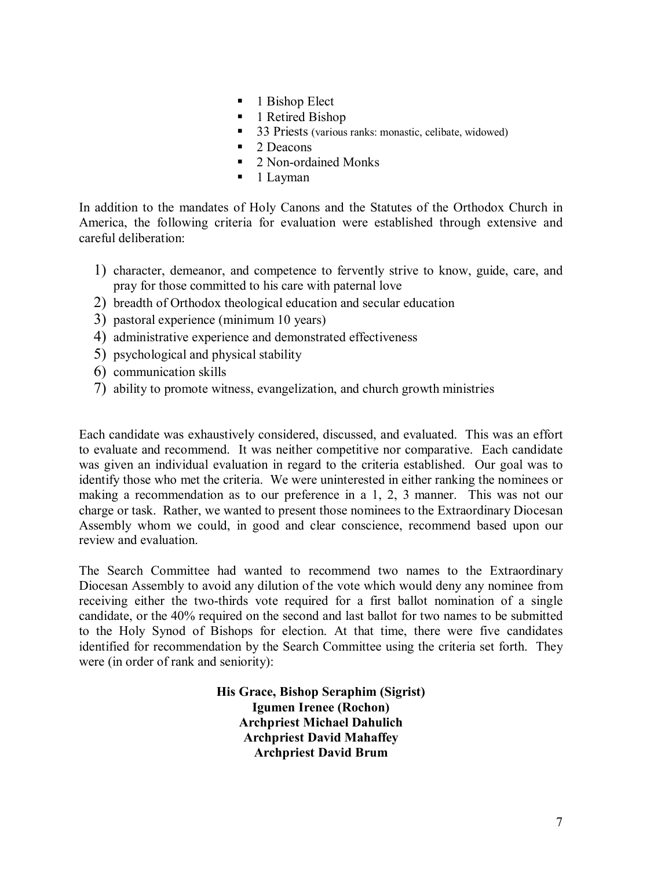- 1 Bishop Elect
- 1 Retired Bishop
- 33 Priests (various ranks: monastic, celibate, widowed)
- 2 Deacons
- 2 Non-ordained Monks
- 1 Layman

In addition to the mandates of Holy Canons and the Statutes of the Orthodox Church in America, the following criteria for evaluation were established through extensive and careful deliberation:

- 1) character, demeanor, and competence to fervently strive to know, guide, care, and pray for those committed to his care with paternal love
- 2) breadth of Orthodox theological education and secular education
- 3) pastoral experience (minimum 10 years)
- 4) administrative experience and demonstrated effectiveness
- 5) psychological and physical stability
- 6) communication skills
- 7) ability to promote witness, evangelization, and church growth ministries

Each candidate was exhaustively considered, discussed, and evaluated. This was an effort to evaluate and recommend. It was neither competitive nor comparative. Each candidate was given an individual evaluation in regard to the criteria established. Our goal was to identify those who met the criteria. We were uninterested in either ranking the nominees or making a recommendation as to our preference in a 1, 2, 3 manner. This was not our charge or task. Rather, we wanted to present those nominees to the Extraordinary Diocesan Assembly whom we could, in good and clear conscience, recommend based upon our review and evaluation.

The Search Committee had wanted to recommend two names to the Extraordinary Diocesan Assembly to avoid any dilution of the vote which would deny any nominee from receiving either the two-thirds vote required for a first ballot nomination of a single candidate, or the 40% required on the second and last ballot for two names to be submitted to the Holy Synod of Bishops for election. At that time, there were five candidates identified for recommendation by the Search Committee using the criteria set forth. They were (in order of rank and seniority):

> His Grace, Bishop Seraphim (Sigrist) Igumen Irenee (Rochon) Archpriest Michael Dahulich Archpriest David Mahaffey Archpriest David Brum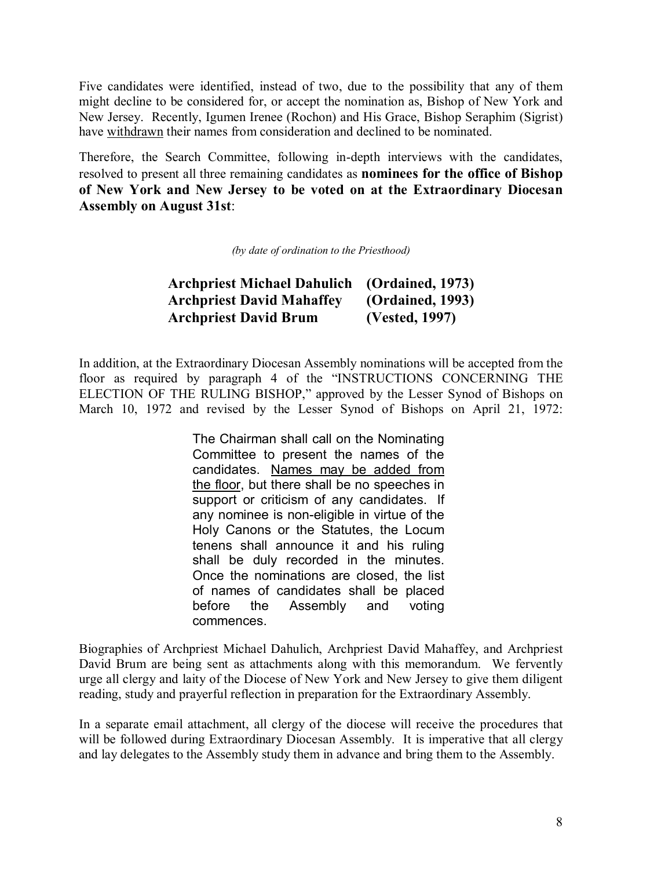Five candidates were identified, instead of two, due to the possibility that any of them might decline to be considered for, or accept the nomination as, Bishop of New York and New Jersey. Recently, Igumen Irenee (Rochon) and His Grace, Bishop Seraphim (Sigrist) have withdrawn their names from consideration and declined to be nominated.

Therefore, the Search Committee, following in-depth interviews with the candidates, resolved to present all three remaining candidates as nominees for the office of Bishop of New York and New Jersey to be voted on at the Extraordinary Diocesan Assembly on August 31st:

(by date of ordination to the Priesthood)

| <b>Archpriest Michael Dahulich</b> | (Ordained, 1973) |
|------------------------------------|------------------|
| <b>Archpriest David Mahaffey</b>   | (Ordained, 1993) |
| <b>Archpriest David Brum</b>       | (Vested, 1997)   |

In addition, at the Extraordinary Diocesan Assembly nominations will be accepted from the floor as required by paragraph 4 of the "INSTRUCTIONS CONCERNING THE ELECTION OF THE RULING BISHOP," approved by the Lesser Synod of Bishops on March 10, 1972 and revised by the Lesser Synod of Bishops on April 21, 1972:

> The Chairman shall call on the Nominating Committee to present the names of the candidates. Names may be added from the floor, but there shall be no speeches in support or criticism of any candidates. If any nominee is non-eligible in virtue of the Holy Canons or the Statutes, the Locum tenens shall announce it and his ruling shall be duly recorded in the minutes. Once the nominations are closed, the list of names of candidates shall be placed before the Assembly and voting commences.

Biographies of Archpriest Michael Dahulich, Archpriest David Mahaffey, and Archpriest David Brum are being sent as attachments along with this memorandum. We fervently urge all clergy and laity of the Diocese of New York and New Jersey to give them diligent reading, study and prayerful reflection in preparation for the Extraordinary Assembly.

In a separate email attachment, all clergy of the diocese will receive the procedures that will be followed during Extraordinary Diocesan Assembly. It is imperative that all clergy and lay delegates to the Assembly study them in advance and bring them to the Assembly.